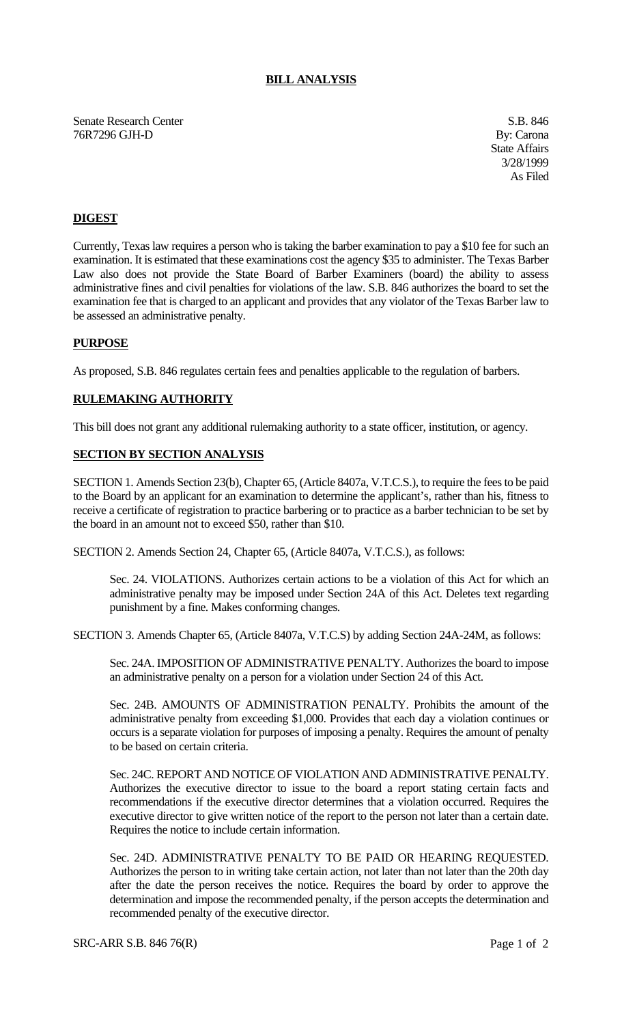## **BILL ANALYSIS**

Senate Research Center S.B. 846 76R7296 GJH-D By: Carona

State Affairs 3/28/1999 As Filed

# **DIGEST**

Currently, Texas law requires a person who is taking the barber examination to pay a \$10 fee for such an examination. It is estimated that these examinations cost the agency \$35 to administer. The Texas Barber Law also does not provide the State Board of Barber Examiners (board) the ability to assess administrative fines and civil penalties for violations of the law. S.B. 846 authorizes the board to set the examination fee that is charged to an applicant and provides that any violator of the Texas Barber law to be assessed an administrative penalty.

#### **PURPOSE**

As proposed, S.B. 846 regulates certain fees and penalties applicable to the regulation of barbers.

## **RULEMAKING AUTHORITY**

This bill does not grant any additional rulemaking authority to a state officer, institution, or agency.

#### **SECTION BY SECTION ANALYSIS**

SECTION 1. Amends Section 23(b), Chapter 65, (Article 8407a, V.T.C.S.), to require the fees to be paid to the Board by an applicant for an examination to determine the applicant's, rather than his, fitness to receive a certificate of registration to practice barbering or to practice as a barber technician to be set by the board in an amount not to exceed \$50, rather than \$10.

SECTION 2. Amends Section 24, Chapter 65, (Article 8407a, V.T.C.S.), as follows:

Sec. 24. VIOLATIONS. Authorizes certain actions to be a violation of this Act for which an administrative penalty may be imposed under Section 24A of this Act. Deletes text regarding punishment by a fine. Makes conforming changes.

SECTION 3. Amends Chapter 65, (Article 8407a, V.T.C.S) by adding Section 24A-24M, as follows:

Sec. 24A. IMPOSITION OF ADMINISTRATIVE PENALTY. Authorizes the board to impose an administrative penalty on a person for a violation under Section 24 of this Act.

Sec. 24B. AMOUNTS OF ADMINISTRATION PENALTY. Prohibits the amount of the administrative penalty from exceeding \$1,000. Provides that each day a violation continues or occurs is a separate violation for purposes of imposing a penalty. Requires the amount of penalty to be based on certain criteria.

Sec. 24C. REPORT AND NOTICE OF VIOLATION AND ADMINISTRATIVE PENALTY. Authorizes the executive director to issue to the board a report stating certain facts and recommendations if the executive director determines that a violation occurred. Requires the executive director to give written notice of the report to the person not later than a certain date. Requires the notice to include certain information.

Sec. 24D. ADMINISTRATIVE PENALTY TO BE PAID OR HEARING REQUESTED. Authorizes the person to in writing take certain action, not later than not later than the 20th day after the date the person receives the notice. Requires the board by order to approve the determination and impose the recommended penalty, if the person accepts the determination and recommended penalty of the executive director.